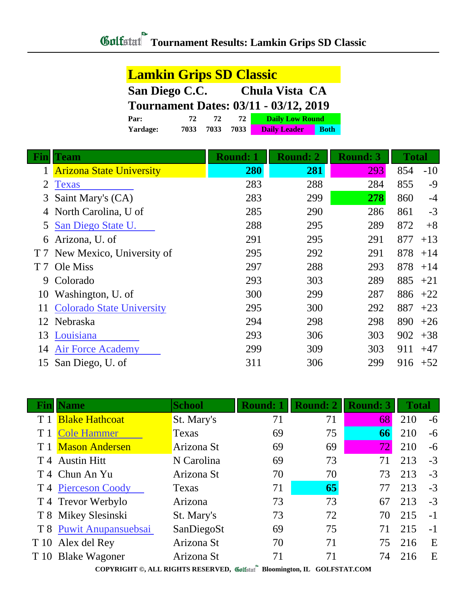| <b>Lamkin Grips SD Classic</b>               |      |      |      |                        |             |  |  |
|----------------------------------------------|------|------|------|------------------------|-------------|--|--|
| San Diego C.C.<br>Chula Vista CA             |      |      |      |                        |             |  |  |
| <b>Tournament Dates: 03/11 - 03/12, 2019</b> |      |      |      |                        |             |  |  |
| Par:                                         | 72   | 72.  | 72   | <b>Daily Low Round</b> |             |  |  |
| Yardage:                                     | 7033 | 7033 | 7033 | <b>Daily Leader</b>    | <b>Both</b> |  |  |

|                | <b>Team</b>                      | Round: 1 | <b>Round: 2</b> | <b>Round: 3</b> | <b>Total</b> |       |
|----------------|----------------------------------|----------|-----------------|-----------------|--------------|-------|
|                | <b>Arizona State University</b>  | 280      | 281             | 293             | 854          | $-10$ |
| 2              | <b>Texas</b>                     | 283      | 288             | 284             | 855          | $-9$  |
| 3              | Saint Mary's (CA)                | 283      | 299             | 278             | 860          | $-4$  |
|                | North Carolina, U of             | 285      | 290             | 286             | 861          | $-3$  |
| 5              | San Diego State U.               | 288      | 295             | 289             | 872          | $+8$  |
| 6              | Arizona, U. of                   | 291      | 295             | 291             | 877          | $+13$ |
|                | T 7 New Mexico, University of    | 295      | 292             | 291             | 878          | $+14$ |
| T <sub>7</sub> | Ole Miss                         | 297      | 288             | 293             | 878          | $+14$ |
| 9              | Colorado                         | 293      | 303             | 289             | 885          | $+21$ |
| 10             | Washington, U. of                | 300      | 299             | 287             | 886          | $+22$ |
|                | <b>Colorado State University</b> | 295      | 300             | 292             | 887          | $+23$ |
| 12             | Nebraska                         | 294      | 298             | 298             | 890          | $+26$ |
| 13             | Louisiana                        | 293      | 306             | 303             | 902          | $+38$ |
| 14             | <b>Air Force Academy</b>         | 299      | 309             | 303             | 911          | $+47$ |
| 15             | San Diego, U. of                 | 311      | 306             | 299             | 916          | $+52$ |

| Vame                           | <b>School</b> | <b>Round: 1</b> | <b>Round: 2</b> | <b>Round: 3</b> | <b>Total</b> |      |
|--------------------------------|---------------|-----------------|-----------------|-----------------|--------------|------|
| <b>Blake Hathcoat</b>          | St. Mary's    | 71              | 71              | 68              | 210          | $-6$ |
| <b>Cole Hammer</b>             | Texas         | 69              | 75              | 66              | 210          | $-6$ |
| <b>Mason Andersen</b>          | Arizona St    | 69              | 69              | 721             | 210          | $-6$ |
| T 4 Austin Hitt                | N Carolina    | 69              | 73              | 71              | 213          | $-3$ |
| T 4 Chun An Yu                 | Arizona St    | 70              | 70              | 73              | 213          | $-3$ |
| T <sub>4</sub> Pierceson Coody | Texas         | 71              | 65              | 77              | 213          | $-3$ |
| T 4 Trevor Werbylo             | Arizona       | 73              | 73              | 67              | 213          | $-3$ |
| T 8 Mikey Slesinski            | St. Mary's    | 73              | 72              | 70              | 215          | $-1$ |
| T 8 Puwit Anupansuebsai        | SanDiegoSt    | 69              | 75              | 71              | 215          | $-1$ |
| T 10 Alex del Rey              | Arizona St    | 70              | 71              | 75              | 216          | E    |
| T 10 Blake Wagoner             | Arizona St    | 71              | 71              | 74              | 216          | E    |

**COPYRIGHT ©, ALL RIGHTS RESERVED, Bloomington, IL GOLFSTAT.COM**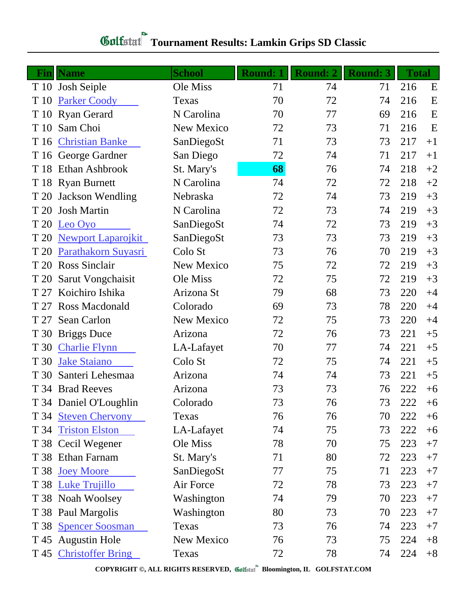## **Tournament Results: Lamkin Grips SD Classic**

|      | <b>Fin</b> Name           | <b>School</b> | <b>Round: 1</b> | <b>Round: 2</b> | <b>Round: 3</b> | <b>Total</b> |      |
|------|---------------------------|---------------|-----------------|-----------------|-----------------|--------------|------|
|      | T 10 Josh Seiple          | Ole Miss      | 71              | 74              | 71              | 216          | E    |
| T 10 | <b>Parker Coody</b>       | Texas         | 70              | 72              | 74              | 216          | E    |
|      | T 10 Ryan Gerard          | N Carolina    | 70              | 77              | 69              | 216          | E    |
| T 10 | Sam Choi                  | New Mexico    | 72              | 73              | 71              | 216          | E    |
|      | T 16 Christian Banke      | SanDiegoSt    | 71              | 73              | 73              | 217          | $+1$ |
|      | T 16 George Gardner       | San Diego     | 72              | 74              | 71              | 217          | $+1$ |
|      | T 18 Ethan Ashbrook       | St. Mary's    | 68              | 76              | 74              | 218          | $+2$ |
|      | T 18 Ryan Burnett         | N Carolina    | 74              | 72              | 72              | 218          | $+2$ |
| T 20 | <b>Jackson Wendling</b>   | Nebraska      | 72              | 74              | 73              | 219          | $+3$ |
| T 20 | <b>Josh Martin</b>        | N Carolina    | 72              | 73              | 74              | 219          | $+3$ |
| T 20 | Leo Oyo                   | SanDiegoSt    | 74              | 72              | 73              | 219          | $+3$ |
| T 20 | <b>Newport Laparojkit</b> | SanDiegoSt    | 73              | 73              | 73              | 219          | $+3$ |
| T 20 | Parathakorn Suyasri       | Colo St       | 73              | 76              | 70              | 219          | $+3$ |
| T 20 | <b>Ross Sinclair</b>      | New Mexico    | 75              | 72              | 72              | 219          | $+3$ |
| T 20 | Sarut Vongchaisit         | Ole Miss      | 72              | 75              | 72              | 219          | $+3$ |
| T 27 | Koichiro Ishika           | Arizona St    | 79              | 68              | 73              | 220          | $+4$ |
| T 27 | <b>Ross Macdonald</b>     | Colorado      | 69              | 73              | 78              | 220          | $+4$ |
| T 27 | <b>Sean Carlon</b>        | New Mexico    | 72              | 75              | 73              | 220          | $+4$ |
| T 30 | <b>Briggs Duce</b>        | Arizona       | 72              | 76              | 73              | 221          | $+5$ |
| T 30 | <b>Charlie Flynn</b>      | LA-Lafayet    | 70              | 77              | 74              | 221          | $+5$ |
| T 30 | <b>Jake Staiano</b>       | Colo St       | 72              | 75              | 74              | 221          | $+5$ |
| T 30 | Santeri Lehesmaa          | Arizona       | 74              | 74              | 73              | 221          | $+5$ |
|      | T 34 Brad Reeves          | Arizona       | 73              | 73              | 76              | 222          | $+6$ |
|      | T 34 Daniel O'Loughlin    | Colorado      | 73              | 76              | 73              | 222          | $+6$ |
|      | T 34 Steven Chervony      | Texas         | 76              | 76              | 70              | 222          | $+6$ |
|      | T 34 Triston Elston       | LA-Lafayet    | 74              | 75              | 73              | 222          | $+6$ |
|      | T 38 Cecil Wegener        | Ole Miss      | 78              | 70              | 75              | 223          | $+7$ |
|      | T 38 Ethan Farnam         | St. Mary's    | 71              | 80              | 72              | 223          | $+7$ |
| T 38 | <b>Joey Moore</b>         | SanDiegoSt    | 77              | 75              | 71              | 223          | $+7$ |
|      | T 38 Luke Trujillo        | Air Force     | 72              | 78              | 73              | 223          | $+7$ |
|      | T 38 Noah Woolsey         | Washington    | 74              | 79              | 70              | 223          | $+7$ |
|      | T 38 Paul Margolis        | Washington    | 80              | 73              | 70              | 223          | $+7$ |
|      | T 38 Spencer Soosman      | Texas         | 73              | 76              | 74              | 223          | $+7$ |
|      | T 45 Augustin Hole        | New Mexico    | 76              | 73              | 75              | 224          | $+8$ |
|      | T 45 Christoffer Bring    | Texas         | 72              | 78              | 74              | 224          | $+8$ |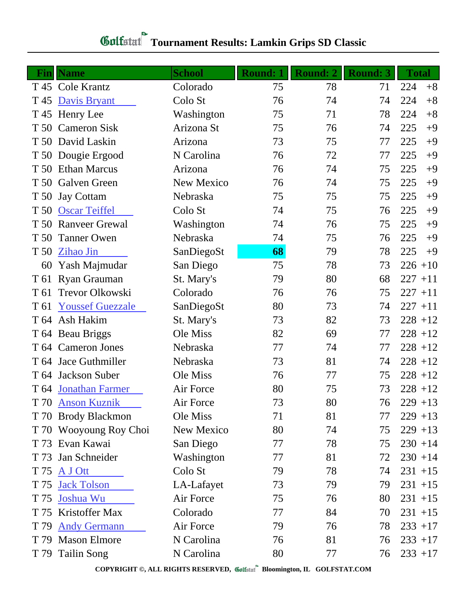## **Tournament Results: Lamkin Grips SD Classic**

|      | <b>Fin</b> Name         | <b>School</b> | <b>Round: 1</b> | <b>Round: 2</b> | <b>Round: 3</b> | <b>Total</b> |
|------|-------------------------|---------------|-----------------|-----------------|-----------------|--------------|
|      | T 45 Cole Krantz        | Colorado      | 75              | 78              | 71              | 224<br>$+8$  |
| T 45 | <b>Davis Bryant</b>     | Colo St       | 76              | 74              | 74              | 224<br>$+8$  |
|      | T 45 Henry Lee          | Washington    | 75              | 71              | 78              | 224<br>$+8$  |
| T 50 | <b>Cameron Sisk</b>     | Arizona St    | 75              | 76              | 74              | 225<br>$+9$  |
|      | T 50 David Laskin       | Arizona       | 73              | 75              | 77              | 225<br>$+9$  |
|      | T 50 Dougie Ergood      | N Carolina    | 76              | 72              | 77              | 225<br>$+9$  |
| T 50 | <b>Ethan Marcus</b>     | Arizona       | 76              | 74              | 75              | 225<br>$+9$  |
| T 50 | Galven Green            | New Mexico    | 76              | 74              | 75              | 225<br>$+9$  |
| T 50 | <b>Jay Cottam</b>       | Nebraska      | 75              | 75              | 75              | 225<br>$+9$  |
| T 50 | <b>Oscar Teiffel</b>    | Colo St       | 74              | 75              | 76              | 225<br>$+9$  |
| T 50 | <b>Ranveer Grewal</b>   | Washington    | 74              | 76              | 75              | 225<br>$+9$  |
| T 50 | <b>Tanner Owen</b>      | Nebraska      | 74              | 75              | 76              | 225<br>$+9$  |
| T 50 | <b>Zihao Jin</b>        | SanDiegoSt    | 68              | 79              | 78              | 225<br>$+9$  |
| 60   | Yash Majmudar           | San Diego     | 75              | 78              | 73              | $226 + 10$   |
| T 61 | Ryan Grauman            | St. Mary's    | 79              | 80              | 68              | $227 + 11$   |
| T 61 | Trevor Olkowski         | Colorado      | 76              | 76              | 75              | $227 + 11$   |
| T 61 | <b>Youssef Guezzale</b> | SanDiegoSt    | 80              | 73              | 74              | $227 + 11$   |
| T 64 | Ash Hakim               | St. Mary's    | 73              | 82              | 73              | $228 + 12$   |
|      | T 64 Beau Briggs        | Ole Miss      | 82              | 69              | 77              | $228 + 12$   |
|      | T 64 Cameron Jones      | Nebraska      | 77              | 74              | 77              | $228 + 12$   |
| T 64 | Jace Guthmiller         | Nebraska      | 73              | 81              | 74              | $228 + 12$   |
| T 64 | Jackson Suber           | Ole Miss      | 76              | 77              | 75              | $228 + 12$   |
|      | T 64 Jonathan Farmer    | Air Force     | 80              | 75              | 73              | $228 + 12$   |
|      | T 70 Anson Kuznik       | Air Force     | 73              | 80              | 76              | $229 + 13$   |
| T 70 | <b>Brody Blackmon</b>   | Ole Miss      | 71              | 81              | 77              | $229 + 13$   |
|      | T 70 Wooyoung Roy Choi  | New Mexico    | 80              | 74              | 75              | $229 + 13$   |
|      | T 73 Evan Kawai         | San Diego     | 77              | 78              | 75              | $230 + 14$   |
| T 73 | Jan Schneider           | Washington    | 77              | 81              | 72              | $230 + 14$   |
| T 75 | A J Ott                 | Colo St       | 79              | 78              | 74              | $231 + 15$   |
| T 75 | <b>Jack Tolson</b>      | LA-Lafayet    | 73              | 79              | 79              | $231 + 15$   |
| T 75 | Joshua Wu               | Air Force     | 75              | 76              | 80              | $231 + 15$   |
|      | T 75 Kristoffer Max     | Colorado      | 77              | 84              | 70              | $231 + 15$   |
| T 79 | <b>Andy Germann</b>     | Air Force     | 79              | 76              | 78              | $233 + 17$   |
| T 79 | <b>Mason Elmore</b>     | N Carolina    | 76              | 81              | 76              | $233 + 17$   |
|      | T 79 Tailin Song        | N Carolina    | 80              | 77              | 76              | $233 + 17$   |